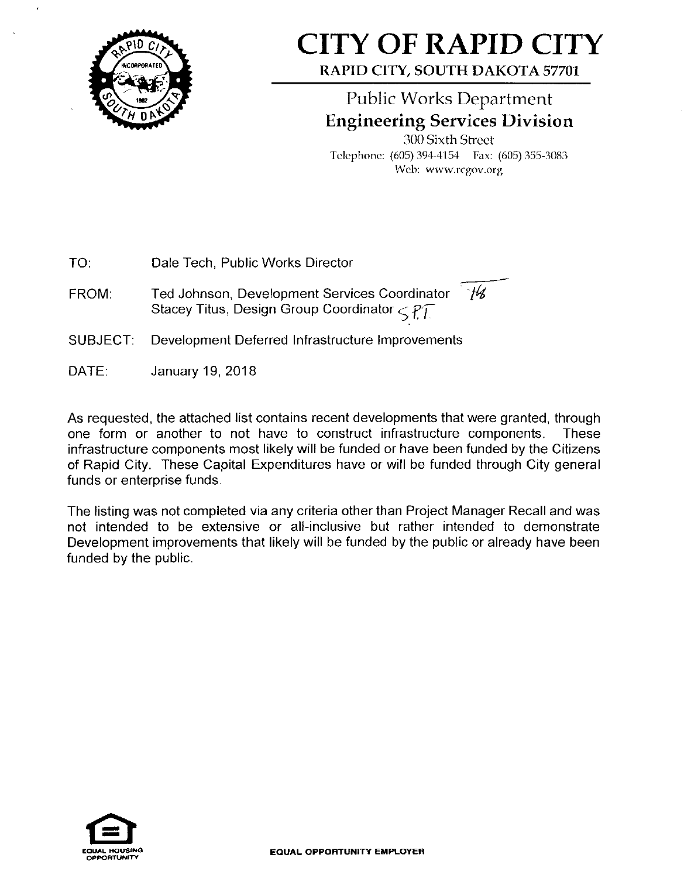

## **CITY OF RAPID CITY**

**RAPID CITY, SOUTH DAKOTA 57701** 

## Public Works Department **Engineering Services Division**

300 Sixth Street Telephone: (605) 394-4154 Fax: (605) 355-3083 Web: www.rcgov.org

TO: Dale Tech, Public Works Director

FROM: Ted Johnson, Development Services Coordinator 74 Stacey Titus, Design Group Coordinator *C^ff* 

- SUBJECT: Development Deferred Infrastructure Improvements
- DATE: January 19, 2018

As requested, the attached list contains recent developments that were granted, through one form or another to not have to construct infrastructure components. These infrastructure components most likely will be funded or have been funded by the Citizens of Rapid City. These Capital Expenditures have or will be funded through City general funds or enterprise funds.

The listing was not completed via any criteria other than Project Manager Recall and was not intended to be extensive or all-inclusive but rather intended to demonstrate Development improvements that likely will be funded by the public or already have been funded by the public.